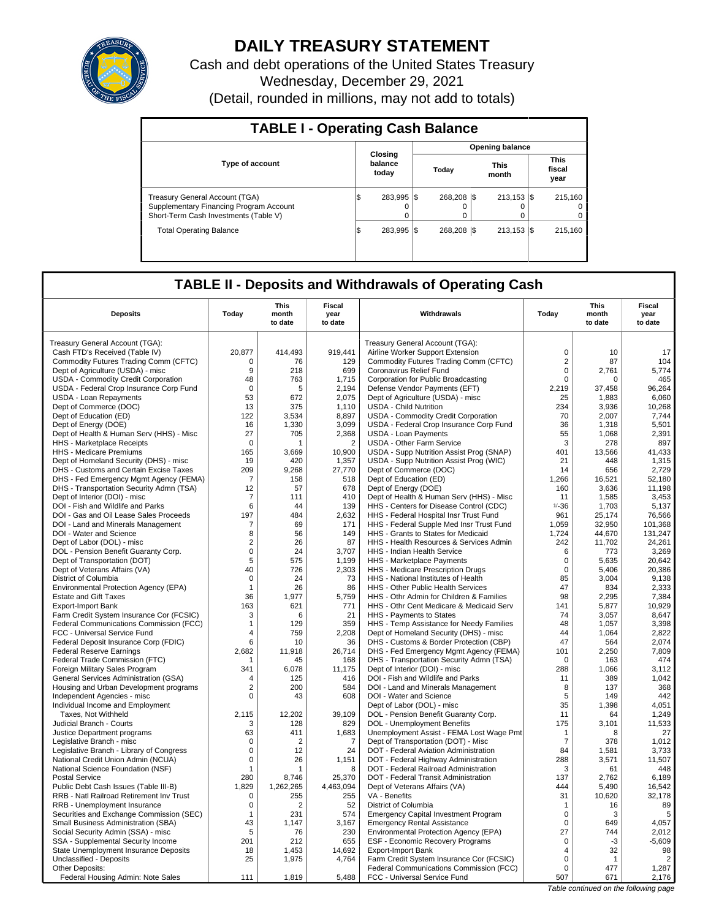

# **DAILY TREASURY STATEMENT**

Cash and debt operations of the United States Treasury Wednesday, December 29, 2021 (Detail, rounded in millions, may not add to totals)

| <b>TABLE I - Operating Cash Balance</b>                                                                                   |                                |                       |                        |                                 |  |  |  |  |  |  |
|---------------------------------------------------------------------------------------------------------------------------|--------------------------------|-----------------------|------------------------|---------------------------------|--|--|--|--|--|--|
|                                                                                                                           |                                |                       | <b>Opening balance</b> |                                 |  |  |  |  |  |  |
| <b>Type of account</b>                                                                                                    | Closina<br>balance<br>today    | Today                 | <b>This</b><br>month   | <b>This</b><br>fiscal<br>year   |  |  |  |  |  |  |
| <b>Treasury General Account (TGA)</b><br>Supplementary Financing Program Account<br>Short-Term Cash Investments (Table V) | 283.995 \\$<br>I\$<br>$\Omega$ | 268.208 \\$<br>0<br>0 | $213.153$ $\sqrt{5}$   | 215.160<br>$^{(1)}$<br>$\Omega$ |  |  |  |  |  |  |
| <b>Total Operating Balance</b>                                                                                            | 283.995 \\$<br>I\$             | 268.208 \\$           | $213.153$ S            | 215.160                         |  |  |  |  |  |  |

## **TABLE II - Deposits and Withdrawals of Operating Cash**

|                                              |                | <b>This</b>    | <b>Fiscal</b>  |                                             |                | <b>This</b>                           | <b>Fiscal</b>  |
|----------------------------------------------|----------------|----------------|----------------|---------------------------------------------|----------------|---------------------------------------|----------------|
| <b>Deposits</b>                              | Today          | month          | year           | Withdrawals                                 | Today          | month                                 | year           |
|                                              |                | to date        | to date        |                                             |                | to date                               | to date        |
| Treasury General Account (TGA):              |                |                |                | Treasury General Account (TGA):             |                |                                       |                |
| Cash FTD's Received (Table IV)               | 20,877         | 414,493        | 919,441        | Airline Worker Support Extension            | $\mathbf 0$    | 10                                    | 17             |
| Commodity Futures Trading Comm (CFTC)        | $\Omega$       | 76             | 129            | Commodity Futures Trading Comm (CFTC)       | $\overline{c}$ | 87                                    | 104            |
| Dept of Agriculture (USDA) - misc            | 9              | 218            | 699            | Coronavirus Relief Fund                     | 0              | 2,761                                 | 5,774          |
| USDA - Commodity Credit Corporation          | 48             | 763            | 1,715          | Corporation for Public Broadcasting         | 0              | $\Omega$                              | 465            |
| USDA - Federal Crop Insurance Corp Fund      | $\Omega$       | 5              | 2,194          | Defense Vendor Payments (EFT)               | 2,219          | 37,458                                | 96,264         |
| USDA - Loan Repayments                       | 53             | 672            | 2,075          | Dept of Agriculture (USDA) - misc           | 25             | 1,883                                 | 6,060          |
| Dept of Commerce (DOC)                       | 13             | 375            | 1,110          | <b>USDA - Child Nutrition</b>               | 234            | 3,936                                 | 10,268         |
| Dept of Education (ED)                       | 122            | 3.534          | 8,897          | USDA - Commodity Credit Corporation         | 70             | 2.007                                 | 7,744          |
| Dept of Energy (DOE)                         | 16             | 1,330          | 3,099          | USDA - Federal Crop Insurance Corp Fund     | 36             | 1,318                                 | 5,501          |
| Dept of Health & Human Serv (HHS) - Misc     | 27             | 705            | 2,368          | <b>USDA - Loan Payments</b>                 | 55             | 1.068                                 | 2.391          |
| HHS - Marketplace Receipts                   | $\Omega$       |                | $\overline{2}$ | <b>USDA - Other Farm Service</b>            | 3              | 278                                   | 897            |
| HHS - Medicare Premiums                      | 165            | 3.669          | 10,900         | USDA - Supp Nutrition Assist Prog (SNAP)    | 401            | 13,566                                | 41.433         |
| Dept of Homeland Security (DHS) - misc       | 19             | 420            | 1,357          | USDA - Supp Nutrition Assist Prog (WIC)     | 21             | 448                                   | 1,315          |
| DHS - Customs and Certain Excise Taxes       | 209            | 9.268          | 27,770         | Dept of Commerce (DOC)                      | 14             | 656                                   | 2.729          |
| DHS - Fed Emergency Mgmt Agency (FEMA)       | 7              | 158            | 518            | Dept of Education (ED)                      | 1,266          | 16,521                                | 52,180         |
| DHS - Transportation Security Admn (TSA)     | 12             | 57             | 678            | Dept of Energy (DOE)                        | 160            | 3,636                                 | 11.198         |
| Dept of Interior (DOI) - misc                | 7              | 111            | 410            | Dept of Health & Human Serv (HHS) - Misc    | 11             | 1,585                                 | 3,453          |
| DOI - Fish and Wildlife and Parks            | 6              | 44             | 139            | HHS - Centers for Disease Control (CDC)     | $1/ - 36$      | 1,703                                 | 5.137          |
| DOI - Gas and Oil Lease Sales Proceeds       | 197            | 484            | 2,632          | HHS - Federal Hospital Insr Trust Fund      | 961            | 25,174                                | 76,566         |
| DOI - Land and Minerals Management           | $\overline{7}$ | 69             | 171            | HHS - Federal Supple Med Insr Trust Fund    | 1,059          | 32,950                                | 101,368        |
| DOI - Water and Science                      | 8              | 56             | 149            | HHS - Grants to States for Medicaid         | 1,724          | 44,670                                | 131,247        |
| Dept of Labor (DOL) - misc                   | 2              | 26             | 87             | HHS - Health Resources & Services Admin     | 242            | 11,702                                | 24.261         |
| DOL - Pension Benefit Guaranty Corp.         | 0              | 24             | 3,707          | HHS - Indian Health Service                 | 6              | 773                                   | 3,269          |
| Dept of Transportation (DOT)                 | 5              | 575            | 1,199          | HHS - Marketplace Payments                  | 0              | 5,635                                 | 20,642         |
| Dept of Veterans Affairs (VA)                | 40             | 726            | 2,303          | HHS - Medicare Prescription Drugs           | $\Omega$       | 5,406                                 | 20,386         |
| District of Columbia                         | $\Omega$       | 24             | 73             | HHS - National Institutes of Health         | 85             | 3,004                                 | 9,138          |
| Environmental Protection Agency (EPA)        | $\mathbf{1}$   | 26             | 86             | HHS - Other Public Health Services          | 47             | 834                                   | 2,333          |
| <b>Estate and Gift Taxes</b>                 | 36             | 1,977          | 5,759          | HHS - Othr Admin for Children & Families    | 98             | 2,295                                 | 7,384          |
| Export-Import Bank                           | 163            | 621            | 771            | HHS - Othr Cent Medicare & Medicaid Serv    | 141            | 5,877                                 | 10,929         |
| Farm Credit System Insurance Cor (FCSIC)     | 3              | 6              | 21             | HHS - Payments to States                    | 74             | 3,057                                 | 8.647          |
| Federal Communications Commission (FCC)      | $\mathbf{1}$   | 129            | 359            | HHS - Temp Assistance for Needy Families    | 48             | 1,057                                 | 3,398          |
| FCC - Universal Service Fund                 | 4              | 759            | 2,208          | Dept of Homeland Security (DHS) - misc      | 44             | 1,064                                 | 2,822          |
| Federal Deposit Insurance Corp (FDIC)        | 6              | 10             | 36             | DHS - Customs & Border Protection (CBP)     | 47             | 564                                   | 2,074          |
| <b>Federal Reserve Earnings</b>              | 2,682          | 11,918         | 26.714         | DHS - Fed Emergency Mgmt Agency (FEMA)      | 101            | 2,250                                 | 7,809          |
| Federal Trade Commission (FTC)               |                | 45             | 168            | DHS - Transportation Security Admn (TSA)    | 0              | 163                                   | 474            |
| Foreign Military Sales Program               | 341            | 6,078          | 11,175         | Dept of Interior (DOI) - misc               | 288            | 1,066                                 | 3,112          |
| <b>General Services Administration (GSA)</b> | $\overline{4}$ | 125            | 416            | DOI - Fish and Wildlife and Parks           | 11             | 389                                   | 1.042          |
| Housing and Urban Development programs       | $\overline{2}$ | 200            | 584            | DOI - Land and Minerals Management          | 8              | 137                                   | 368            |
| Independent Agencies - misc                  | 0              | 43             | 608            | DOI - Water and Science                     | 5              | 149                                   | 442            |
| Individual Income and Employment             |                |                |                | Dept of Labor (DOL) - misc                  | 35             | 1,398                                 | 4,051          |
| Taxes. Not Withheld                          | 2.115          | 12.202         | 39.109         | DOL - Pension Benefit Guaranty Corp.        | 11             | 64                                    | 1.249          |
| Judicial Branch - Courts                     | 3              | 128            | 829            | DOL - Unemployment Benefits                 | 175            | 3,101                                 | 11,533         |
| Justice Department programs                  | 63             | 411            | 1,683          | Unemployment Assist - FEMA Lost Wage Pmt    | $\mathbf{1}$   | 8                                     | 27             |
| Legislative Branch - misc                    | $\Omega$       | $\overline{2}$ | $\overline{7}$ | Dept of Transportation (DOT) - Misc         | $\overline{7}$ | 378                                   | 1,012          |
| Legislative Branch - Library of Congress     | 0              | 12             | 24             | DOT - Federal Aviation Administration       | 84             | 1.581                                 | 3.733          |
| National Credit Union Admin (NCUA)           | $\mathbf 0$    | 26             | 1,151          | DOT - Federal Highway Administration        | 288            | 3,571                                 | 11,507         |
| National Science Foundation (NSF)            | $\mathbf{1}$   | $\overline{1}$ | 8              | DOT - Federal Railroad Administration       | 3              | 61                                    | 448            |
| <b>Postal Service</b>                        | 280            | 8,746          | 25,370         | DOT - Federal Transit Administration        | 137            | 2,762                                 | 6,189          |
| Public Debt Cash Issues (Table III-B)        | 1.829          | 1.262.265      | 4.463.094      | Dept of Veterans Affairs (VA)               | 444            | 5,490                                 | 16,542         |
| RRB - Natl Railroad Retirement Inv Trust     | $\mathbf 0$    | 255            | 255            | VA - Benefits                               | 31             | 10,620                                | 32,178         |
| RRB - Unemployment Insurance                 | 0              | 2              | 52             | District of Columbia                        | $\mathbf{1}$   | 16                                    | 89             |
| Securities and Exchange Commission (SEC)     | 1              | 231            | 574            | <b>Emergency Capital Investment Program</b> | $\mathsf 0$    | 3                                     | 5              |
| Small Business Administration (SBA)          | 43             | 1.147          | 3.167          | <b>Emergency Rental Assistance</b>          | $\Omega$       | 649                                   | 4,057          |
| Social Security Admin (SSA) - misc           | 5              | 76             | 230            | Environmental Protection Agency (EPA)       | 27             | 744                                   | 2,012          |
| SSA - Supplemental Security Income           | 201            | 212            | 655            | ESF - Economic Recovery Programs            | 0              | $-3$                                  | $-5,609$       |
| State Unemployment Insurance Deposits        | 18             | 1,453          | 14,692         | <b>Export-Import Bank</b>                   | 4              | 32                                    | 98             |
| Unclassified - Deposits                      | 25             | 1,975          | 4,764          | Farm Credit System Insurance Cor (FCSIC)    | $\Omega$       | $\mathbf{1}$                          | $\overline{2}$ |
| Other Deposits:                              |                |                |                | Federal Communications Commission (FCC)     | $\mathbf 0$    | 477                                   | 1,287          |
| Federal Housing Admin: Note Sales            | 111            | 1,819          | 5,488          | FCC - Universal Service Fund                | 507            | 671                                   | 2,176          |
|                                              |                |                |                |                                             |                | Table continued on the following page |                |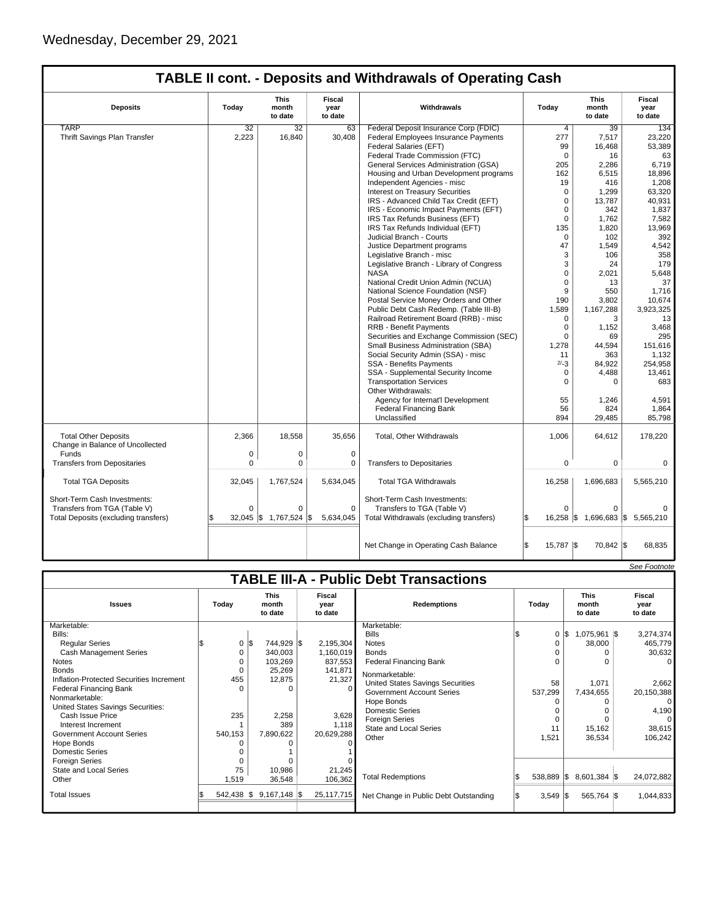$\sqrt{ }$ 

## **TABLE II cont. - Deposits and Withdrawals of Operating Cash**

| <b>Deposits</b>                                                 | Today       | This<br>month<br>to date | Fiscal<br>year<br>to date | Withdrawals                                                             | Today               | <b>This</b><br>month<br>to date | Fiscal<br>year<br>to date |
|-----------------------------------------------------------------|-------------|--------------------------|---------------------------|-------------------------------------------------------------------------|---------------------|---------------------------------|---------------------------|
| <b>TARP</b>                                                     | 32          | 32                       | 63                        | Federal Deposit Insurance Corp (FDIC)                                   | 4                   | 39                              | 134                       |
| Thrift Savings Plan Transfer                                    | 2,223       | 16,840                   | 30,408                    | Federal Employees Insurance Payments                                    | 277                 | 7,517                           | 23,220                    |
|                                                                 |             |                          |                           | Federal Salaries (EFT)                                                  | 99                  | 16,468                          | 53,389                    |
|                                                                 |             |                          |                           | Federal Trade Commission (FTC)                                          | $\mathbf 0$         | 16                              | 63                        |
|                                                                 |             |                          |                           | General Services Administration (GSA)                                   | 205                 | 2,286                           | 6,719                     |
|                                                                 |             |                          |                           | Housing and Urban Development programs                                  | 162                 | 6,515                           | 18,896                    |
|                                                                 |             |                          |                           | Independent Agencies - misc                                             | 19                  | 416                             | 1,208                     |
|                                                                 |             |                          |                           | <b>Interest on Treasury Securities</b>                                  | $\mathbf 0$         | 1,299                           | 63,320                    |
|                                                                 |             |                          |                           | IRS - Advanced Child Tax Credit (EFT)                                   | $\mathbf 0$         | 13.787                          | 40.931                    |
|                                                                 |             |                          |                           | IRS - Economic Impact Payments (EFT)                                    | $\Omega$            | 342                             | 1,837                     |
|                                                                 |             |                          |                           | IRS Tax Refunds Business (EFT)                                          | $\mathbf 0$         | 1,762                           | 7,582                     |
|                                                                 |             |                          |                           | IRS Tax Refunds Individual (EFT)                                        | 135                 | 1,820                           | 13,969                    |
|                                                                 |             |                          |                           | Judicial Branch - Courts                                                | $\mathbf 0$         | 102                             | 392                       |
|                                                                 |             |                          |                           | Justice Department programs                                             | 47                  | 1,549                           | 4,542                     |
|                                                                 |             |                          |                           | Legislative Branch - misc                                               | 3                   | 106                             | 358                       |
|                                                                 |             |                          |                           | Legislative Branch - Library of Congress                                | 3                   | 24                              | 179                       |
|                                                                 |             |                          |                           | <b>NASA</b>                                                             | $\mathbf 0$         | 2,021                           | 5,648                     |
|                                                                 |             |                          |                           |                                                                         | $\mathbf 0$         | 13                              | 37                        |
|                                                                 |             |                          |                           | National Credit Union Admin (NCUA)<br>National Science Foundation (NSF) | 9                   | 550                             | 1,716                     |
|                                                                 |             |                          |                           |                                                                         |                     |                                 |                           |
|                                                                 |             |                          |                           | Postal Service Money Orders and Other                                   | 190                 | 3,802                           | 10,674                    |
|                                                                 |             |                          |                           | Public Debt Cash Redemp. (Table III-B)                                  | 1,589               | 1,167,288                       | 3,923,325                 |
|                                                                 |             |                          |                           | Railroad Retirement Board (RRB) - misc                                  | 0                   | 3                               | 13                        |
|                                                                 |             |                          |                           | <b>RRB - Benefit Payments</b>                                           | $\mathbf 0$         | 1,152                           | 3,468                     |
|                                                                 |             |                          |                           | Securities and Exchange Commission (SEC)                                | $\Omega$            | 69                              | 295                       |
|                                                                 |             |                          |                           | Small Business Administration (SBA)                                     | 1,278               | 44,594                          | 151,616                   |
|                                                                 |             |                          |                           | Social Security Admin (SSA) - misc                                      | 11                  | 363                             | 1,132                     |
|                                                                 |             |                          |                           | <b>SSA - Benefits Payments</b>                                          | $2/-3$              | 84,922                          | 254,958                   |
|                                                                 |             |                          |                           | SSA - Supplemental Security Income                                      | $\mathbf 0$         | 4,488                           | 13,461                    |
|                                                                 |             |                          |                           | <b>Transportation Services</b><br>Other Withdrawals:                    | 0                   | $\Omega$                        | 683                       |
|                                                                 |             |                          |                           | Agency for Internat'l Development                                       | 55                  | 1,246                           | 4,591                     |
|                                                                 |             |                          |                           | <b>Federal Financing Bank</b>                                           | 56                  | 824                             | 1,864                     |
|                                                                 |             |                          |                           | Unclassified                                                            | 894                 | 29,485                          | 85,798                    |
|                                                                 |             |                          |                           |                                                                         |                     |                                 |                           |
| <b>Total Other Deposits</b><br>Change in Balance of Uncollected | 2.366       | 18,558                   | 35,656                    | <b>Total, Other Withdrawals</b>                                         | 1,006               | 64,612                          | 178,220                   |
| Funds                                                           | $\mathbf 0$ | 0                        | $\mathbf 0$               |                                                                         |                     |                                 |                           |
| <b>Transfers from Depositaries</b>                              | $\mathbf 0$ | 0                        | $\mathbf 0$               | <b>Transfers to Depositaries</b>                                        | $\mathbf 0$         | $\mathbf 0$                     | $\mathbf 0$               |
| <b>Total TGA Deposits</b>                                       | 32,045      | 1,767,524                | 5,634,045                 | <b>Total TGA Withdrawals</b>                                            | 16,258              | 1,696,683                       | 5,565,210                 |
| Short-Term Cash Investments:                                    |             |                          |                           | Short-Term Cash Investments:                                            |                     |                                 |                           |
| Transfers from TGA (Table V)                                    | $\Omega$    | $\Omega$                 | $\Omega$                  | Transfers to TGA (Table V)                                              | $\Omega$            | $\Omega$                        |                           |
| Total Deposits (excluding transfers)                            | 32,045      | 1,767,524<br>l\$         | 1\$<br>5,634,045          | Total Withdrawals (excluding transfers)                                 | $16,258$ $\sqrt{5}$ |                                 | 1,696,683 \$ 5,565,210    |
|                                                                 |             |                          |                           | Net Change in Operating Cash Balance                                    | l\$<br>15,787 \$    | 70,842 \$                       | 68,835                    |

|                                                       |         |          |                                 |                           |                                               |                       |                                 | See Footnote              |
|-------------------------------------------------------|---------|----------|---------------------------------|---------------------------|-----------------------------------------------|-----------------------|---------------------------------|---------------------------|
|                                                       |         |          |                                 |                           | <b>TABLE III-A - Public Debt Transactions</b> |                       |                                 |                           |
| <b>Issues</b>                                         | Today   |          | <b>This</b><br>month<br>to date | Fiscal<br>year<br>to date | <b>Redemptions</b>                            | Today                 | <b>This</b><br>month<br>to date | Fiscal<br>year<br>to date |
| Marketable:                                           |         |          |                                 |                           | Marketable:                                   |                       |                                 |                           |
| Bills:                                                |         |          |                                 |                           | <b>Bills</b>                                  | 0                     | \$<br>1,075,961 \$              | 3,274,374                 |
| <b>Reqular Series</b>                                 |         | 0<br>l\$ | 744,929 \$                      | 2,195,304                 | <b>Notes</b>                                  |                       | 38,000                          | 465,779                   |
| <b>Cash Management Series</b>                         |         | 0        | 340,003                         | 1,160,019                 | <b>Bonds</b>                                  |                       |                                 | 30,632                    |
| <b>Notes</b>                                          |         | 0        | 103,269                         | 837,553                   | <b>Federal Financing Bank</b>                 |                       | $\Omega$                        | $\Omega$                  |
| <b>Bonds</b>                                          |         | 0        | 25,269                          | 141,871                   | Nonmarketable:                                |                       |                                 |                           |
| Inflation-Protected Securities Increment              | 455     |          | 12,875                          | 21,327                    | United States Savings Securities              | 58                    | 1,071                           | 2,662                     |
| <b>Federal Financing Bank</b>                         |         | U        | O                               | 0                         | <b>Government Account Series</b>              | 537,299               | 7,434,655                       | 20,150,388                |
| Nonmarketable:                                        |         |          |                                 |                           | Hope Bonds                                    |                       |                                 | $\Omega$                  |
| United States Savings Securities:<br>Cash Issue Price |         |          |                                 |                           | <b>Domestic Series</b>                        |                       |                                 | 4,190                     |
| Interest Increment                                    | 235     |          | 2,258<br>389                    | 3,628                     | <b>Foreign Series</b>                         |                       | $\Omega$                        | $\Omega$                  |
| <b>Government Account Series</b>                      | 540,153 |          | 7,890,622                       | 1,118<br>20,629,288       | <b>State and Local Series</b>                 | 11                    | 15,162                          | 38,615                    |
| Hope Bonds                                            |         |          |                                 |                           | Other                                         | 1,521                 | 36,534                          | 106,242                   |
| <b>Domestic Series</b>                                |         |          |                                 |                           |                                               |                       |                                 |                           |
| <b>Foreign Series</b>                                 |         |          |                                 |                           |                                               |                       |                                 |                           |
| State and Local Series                                |         | 75       | 10,986                          | 21,245                    |                                               |                       |                                 |                           |
| Other                                                 | 1,519   |          | 36,548                          | 106,362                   | <b>Total Redemptions</b>                      | $538,889$ $\sqrt{\$}$ | 8,601,384 \$                    | 24,072,882                |
|                                                       |         |          |                                 |                           |                                               |                       |                                 |                           |
| <b>Total Issues</b>                                   |         |          | $542,438$ \$ 9.167,148 \$       | 25, 117, 715              | Net Change in Public Debt Outstanding         | $3,549$ \$            | 565,764 \$                      | 1,044,833                 |
|                                                       |         |          |                                 |                           |                                               |                       |                                 |                           |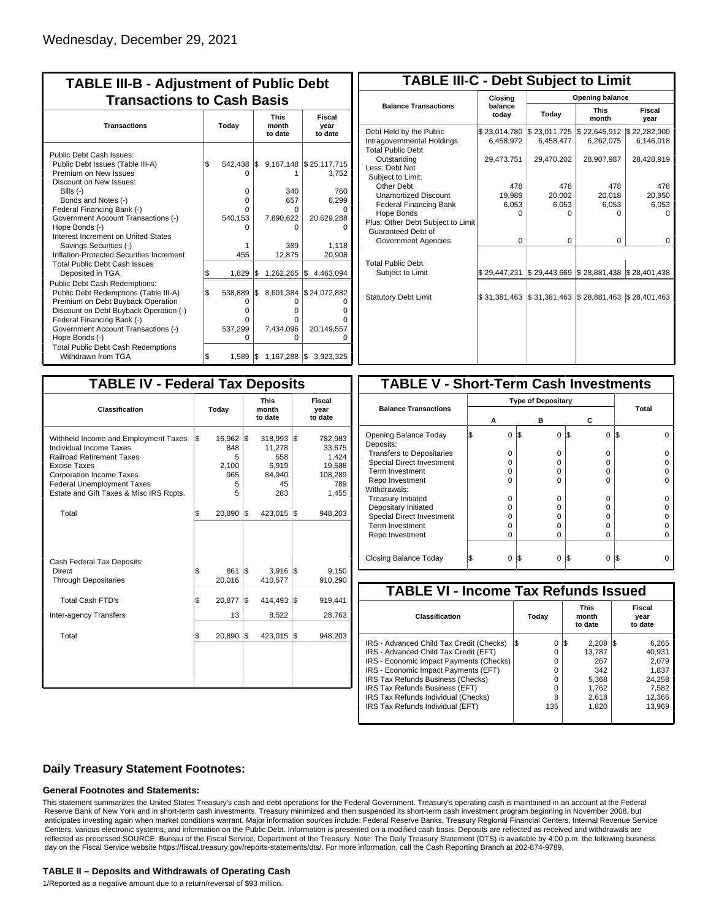| <b>TABLE III-B - Adjustment of Public Debt</b><br><b>Transactions to Cash Basis</b>                                                                                                                                                                                                       |       |                                               |     |                                                   |                                                 |  |  |  |  |                                 |                           |
|-------------------------------------------------------------------------------------------------------------------------------------------------------------------------------------------------------------------------------------------------------------------------------------------|-------|-----------------------------------------------|-----|---------------------------------------------------|-------------------------------------------------|--|--|--|--|---------------------------------|---------------------------|
| <b>Transactions</b>                                                                                                                                                                                                                                                                       | Today |                                               |     |                                                   |                                                 |  |  |  |  | <b>This</b><br>month<br>to date | Fiscal<br>year<br>to date |
| Public Debt Cash Issues:<br>Public Debt Issues (Table III-A)<br>Premium on New Issues<br>Discount on New Issues:<br>Bills $(-)$<br>Bonds and Notes (-)<br>Federal Financing Bank (-)<br>Government Account Transactions (-)                                                               | l\$   | 542.438 \$<br>0<br>$\Omega$<br><sup>n</sup>   |     | 340<br>657<br>0                                   | 9,167,148 \$25,117,715<br>3,752<br>760<br>6,299 |  |  |  |  |                                 |                           |
| Hope Bonds (-)<br>Interest Increment on United States<br>Savings Securities (-)<br>Inflation-Protected Securities Increment<br><b>Total Public Debt Cash Issues</b><br>Deposited in TGA                                                                                                   | Ŝ.    | 540,153<br>455<br>1,829                       | l\$ | 7,890,622<br>n<br>389<br>12,875<br>$1,262,265$ \$ | 20,629,288<br>1,118<br>20,908<br>4.463.094      |  |  |  |  |                                 |                           |
| Public Debt Cash Redemptions:<br>Public Debt Redemptions (Table III-A)<br>Premium on Debt Buyback Operation<br>Discount on Debt Buyback Operation (-)<br>Federal Financing Bank (-)<br>Government Account Transactions (-)<br>Hope Bonds (-)<br><b>Total Public Debt Cash Redemptions</b> | l\$   | 538,889<br>0<br>$\Omega$<br>U<br>537,299<br>O | 1\$ | O<br>o<br>U<br>7,434,096<br>O                     | 8,601,384 \$24,072,882<br>20,149,557            |  |  |  |  |                                 |                           |
| Withdrawn from TGA                                                                                                                                                                                                                                                                        | l\$   |                                               |     | 1,589   \$1,167,288   \$                          | 3,923,325                                       |  |  |  |  |                                 |                           |

| <b>TABLE III-C - Debt Subject to Limit</b>                                        |                           |                                                                            |                           |                           |  |  |  |  |  |  |
|-----------------------------------------------------------------------------------|---------------------------|----------------------------------------------------------------------------|---------------------------|---------------------------|--|--|--|--|--|--|
|                                                                                   | Closing                   | Opening balance                                                            |                           |                           |  |  |  |  |  |  |
| <b>Balance Transactions</b>                                                       | balance<br>today          | Today                                                                      | <b>This</b><br>month      | Fiscal<br>year            |  |  |  |  |  |  |
| Debt Held by the Public<br>Intragovernmental Holdings<br><b>Total Public Debt</b> | \$23,014,780<br>6.458.972 | \$23,011,725<br>6.458.477                                                  | \$22,645,912<br>6,262,075 | \$22,282,900<br>6,146,018 |  |  |  |  |  |  |
| Outstanding<br>Less: Debt Not<br>Subject to Limit:                                | 29,473,751                | 29,470,202                                                                 | 28,907,987                | 28,428,919                |  |  |  |  |  |  |
| Other Debt                                                                        | 478                       | 478                                                                        | 478                       | 478                       |  |  |  |  |  |  |
| <b>Unamortized Discount</b>                                                       | 19,989                    | 20,002                                                                     | 20,018                    | 20,950                    |  |  |  |  |  |  |
| <b>Federal Financing Bank</b>                                                     | 6,053                     | 6,053                                                                      | 6,053                     | 6,053                     |  |  |  |  |  |  |
| Hope Bonds                                                                        | ŋ                         | n                                                                          | n                         | n                         |  |  |  |  |  |  |
| Plus: Other Debt Subject to Limit<br>Guaranteed Debt of                           |                           |                                                                            |                           |                           |  |  |  |  |  |  |
| Government Agencies                                                               | $\Omega$                  | 0                                                                          | 0                         | 0                         |  |  |  |  |  |  |
| <b>Total Public Debt</b><br>Subject to Limit                                      | \$29.447.231              | $\frac{1}{2}$ 29,443,669 $\frac{1}{2}$ 28,881,438 $\frac{1}{2}$ 28,401,438 |                           |                           |  |  |  |  |  |  |
|                                                                                   |                           |                                                                            |                           |                           |  |  |  |  |  |  |
| <b>Statutory Debt Limit</b>                                                       | \$31,381,463              | $\frac{1}{3}$ 31,381,463 $\frac{1}{3}$ 28,881,463                          |                           | \$28,401,463              |  |  |  |  |  |  |
|                                                                                   |                           |                                                                            |                           |                           |  |  |  |  |  |  |

| <b>TABLE IV - Federal Tax Deposits</b>                                                                                                                                                                                                        |     |                                              |     |                                                          |     |                                                                 |
|-----------------------------------------------------------------------------------------------------------------------------------------------------------------------------------------------------------------------------------------------|-----|----------------------------------------------|-----|----------------------------------------------------------|-----|-----------------------------------------------------------------|
| Classification                                                                                                                                                                                                                                |     | Today                                        |     | <b>This</b><br>month<br>to date                          |     | Fiscal<br>year<br>to date                                       |
| Withheld Income and Employment Taxes<br>Individual Income Taxes<br><b>Railroad Retirement Taxes</b><br><b>Excise Taxes</b><br><b>Corporation Income Taxes</b><br><b>Federal Unemployment Taxes</b><br>Estate and Gift Taxes & Misc IRS Rcpts. | l\$ | 16,962<br>848<br>5<br>2,100<br>965<br>5<br>5 | l\$ | 318,993<br>11,278<br>558<br>6.919<br>84,940<br>45<br>283 | l\$ | 782,983<br>33.675<br>1,424<br>19,588<br>108,289<br>789<br>1,455 |
| Total                                                                                                                                                                                                                                         | l\$ | 20,890                                       | 1\$ | 423,015                                                  | 1\$ | 948,203                                                         |
| Cash Federal Tax Deposits:<br>Direct<br><b>Through Depositaries</b>                                                                                                                                                                           | \$  | 861<br>20,016                                | l\$ | 3,916<br>410,577                                         | l\$ | 9,150<br>910,290                                                |
| <b>Total Cash FTD's</b><br><b>Inter-agency Transfers</b>                                                                                                                                                                                      | Ŝ.  | 20,877<br>13                                 | l\$ | 414,493<br>8,522                                         | l\$ | 919,441<br>28,763                                               |
| Total                                                                                                                                                                                                                                         | l\$ | 20,890                                       | 1\$ | 423,015                                                  | l\$ | 948,203                                                         |
|                                                                                                                                                                                                                                               |     |                                              |     |                                                          |     |                                                                 |

| <b>TABLE V - Short-Term Cash Investments</b> |   |          |     |          |               |       |  |
|----------------------------------------------|---|----------|-----|----------|---------------|-------|--|
|                                              |   |          |     |          |               |       |  |
| <b>Balance Transactions</b>                  | А |          | в   |          | С             | Total |  |
| Opening Balance Today<br>Deposits:           |   | 0        | 1\$ | 0        | 1\$<br>0      | I\$   |  |
| <b>Transfers to Depositaries</b>             |   | O        |     | O        | 0             |       |  |
| Special Direct Investment                    |   | O        |     | n        | 0             |       |  |
| Term Investment                              |   | Ω        |     | Ω        | 0             |       |  |
| Repo Investment                              |   | O        |     | O        | 0             |       |  |
| Withdrawals:                                 |   |          |     |          |               |       |  |
| <b>Treasury Initiated</b>                    |   | O        |     | O        | 0             |       |  |
| Depositary Initiated                         |   | Ω        |     | Ω        | 0             |       |  |
| <b>Special Direct Investment</b>             |   | Ω        |     | Ω        | 0             |       |  |
| <b>Term Investment</b>                       |   | Ω        |     | Ω        | 0             |       |  |
| Repo Investment                              |   | O        |     | Ω        | 0             |       |  |
|                                              |   |          |     |          |               |       |  |
| Closing Balance Today                        |   | $\Omega$ | I\$ | $\Omega$ | S<br>$\Omega$ | l\$   |  |

| <b>TABLE VI - Income Tax Refunds Issued</b> |     |          |     |                                 |     |                           |  |  |  |  |
|---------------------------------------------|-----|----------|-----|---------------------------------|-----|---------------------------|--|--|--|--|
| Classification                              |     | Today    |     | <b>This</b><br>month<br>to date |     | Fiscal<br>year<br>to date |  |  |  |  |
| IRS - Advanced Child Tax Credit (Checks)    | l\$ | 0        | 1\$ | 2.208                           | 135 | 6,265                     |  |  |  |  |
| IRS - Advanced Child Tax Credit (EFT)       |     | 0        |     | 13.787                          |     | 40.931                    |  |  |  |  |
| IRS - Economic Impact Payments (Checks)     |     | 0        |     | 267                             |     | 2.079                     |  |  |  |  |
| IRS - Economic Impact Payments (EFT)        |     | $\Omega$ |     | 342                             |     | 1,837                     |  |  |  |  |
| IRS Tax Refunds Business (Checks)           |     | 0        |     | 5,368                           |     | 24,258                    |  |  |  |  |
| IRS Tax Refunds Business (EFT)              |     | 0        |     | 1.762                           |     | 7,582                     |  |  |  |  |
| IRS Tax Refunds Individual (Checks)         |     | 8        |     | 2,618                           |     | 12,366                    |  |  |  |  |
| IRS Tax Refunds Individual (EFT)            |     | 135      |     | 1,820                           |     | 13,969                    |  |  |  |  |
|                                             |     |          |     |                                 |     |                           |  |  |  |  |

### **Daily Treasury Statement Footnotes:**

#### **General Footnotes and Statements:**

This statement summarizes the United States Treasury's cash and debt operations for the Federal Government. Treasury's operating cash is maintained in an account at the Federal Reserve Bank of New York and in short-term cash investments. Treasury minimized and then suspended its short-term cash investment program beginning in November 2008, but anticipates investing again when market conditions warrant. Major information sources include: Federal Reserve Banks, Treasury Regional Financial Centers, Internal Revenue Service Centers, various electronic systems, and information on the Public Debt. Information is presented on a modified cash basis. Deposits are reflected as received and withdrawals are reflected as processed.SOURCE: Bureau of the Fiscal Service, Department of the Treasury. Note: The Daily Treasury Statement (DTS) is available by 4:00 p.m. the following business day on the Fiscal Service website https://fiscal.treasury.gov/reports-statements/dts/. For more information, call the Cash Reporting Branch at 202-874-9789.

#### **TABLE II – Deposits and Withdrawals of Operating Cash**

1/Reported as a negative amount due to a return/reversal of \$93 million.